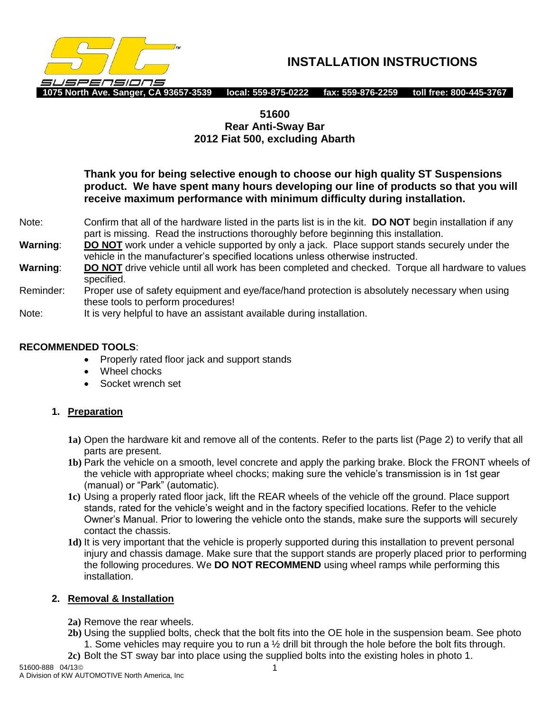

**INSTALLATION INSTRUCTIONS**

## **51600**

# **Rear Anti-Sway Bar 2012 Fiat 500, excluding Abarth**

**Thank you for being selective enough to choose our high quality ST Suspensions product. We have spent many hours developing our line of products so that you will receive maximum performance with minimum difficulty during installation.**

- Note: Confirm that all of the hardware listed in the parts list is in the kit. **DO NOT** begin installation if any part is missing. Read the instructions thoroughly before beginning this installation.
- **Warning**: **DO NOT** work under a vehicle supported by only a jack. Place support stands securely under the vehicle in the manufacturer's specified locations unless otherwise instructed.
- **Warning**: **DO NOT** drive vehicle until all work has been completed and checked. Torque all hardware to values specified.
- Reminder: Proper use of safety equipment and eye/face/hand protection is absolutely necessary when using these tools to perform procedures!
- Note: It is very helpful to have an assistant available during installation.

#### **RECOMMENDED TOOLS**:

- Properly rated floor jack and support stands
- Wheel chocks
- Socket wrench set

#### **1. Preparation**

- **1a)** Open the hardware kit and remove all of the contents. Refer to the parts list (Page 2) to verify that all parts are present.
- **1b)** Park the vehicle on a smooth, level concrete and apply the parking brake. Block the FRONT wheels of the vehicle with appropriate wheel chocks; making sure the vehicle's transmission is in 1st gear (manual) or "Park" (automatic).
- **1c)** Using a properly rated floor jack, lift the REAR wheels of the vehicle off the ground. Place support stands, rated for the vehicle's weight and in the factory specified locations. Refer to the vehicle Owner's Manual. Prior to lowering the vehicle onto the stands, make sure the supports will securely contact the chassis.
- **1d)** It is very important that the vehicle is properly supported during this installation to prevent personal injury and chassis damage. Make sure that the support stands are properly placed prior to performing the following procedures. We **DO NOT RECOMMEND** using wheel ramps while performing this installation.

#### **2. Removal & Installation**

- **2a)** Remove the rear wheels.
- **2b)** Using the supplied bolts, check that the bolt fits into the OE hole in the suspension beam. See photo 1. Some vehicles may require you to run a  $\frac{1}{2}$  drill bit through the hole before the bolt fits through.
- **2c)** Bolt the ST sway bar into place using the supplied bolts into the existing holes in photo 1.